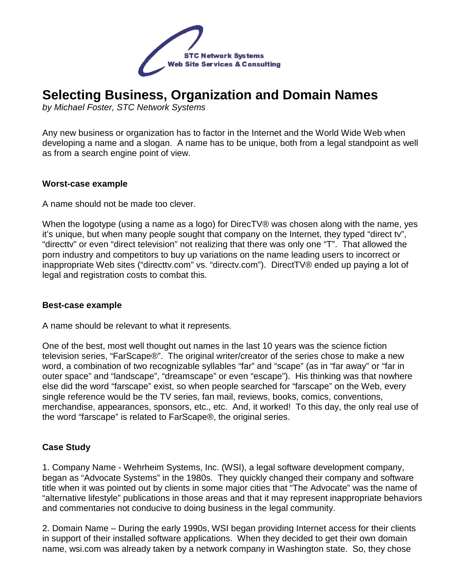

# **Selecting Business, Organization and Domain Names**

by Michael Foster, STC Network Systems

Any new business or organization has to factor in the Internet and the World Wide Web when developing a name and a slogan. A name has to be unique, both from a legal standpoint as well as from a search engine point of view.

### **Worst-case example**

A name should not be made too clever.

When the logotype (using a name as a logo) for DirecTV® was chosen along with the name, yes it's unique, but when many people sought that company on the Internet, they typed "direct tv", "directtv" or even "direct television" not realizing that there was only one "T". That allowed the porn industry and competitors to buy up variations on the name leading users to incorrect or inappropriate Web sites ("directtv.com" vs. "directv.com"). DirectTV® ended up paying a lot of legal and registration costs to combat this.

### **Best-case example**

A name should be relevant to what it represents.

One of the best, most well thought out names in the last 10 years was the science fiction television series, "FarScape®". The original writer/creator of the series chose to make a new word, a combination of two recognizable syllables "far" and "scape" (as in "far away" or "far in outer space" and "landscape", "dreamscape" or even "escape"). His thinking was that nowhere else did the word "farscape" exist, so when people searched for "farscape" on the Web, every single reference would be the TV series, fan mail, reviews, books, comics, conventions, merchandise, appearances, sponsors, etc., etc. And, it worked! To this day, the only real use of the word "farscape" is related to FarScape®, the original series.

### **Case Study**

1. Company Name - Wehrheim Systems, Inc. (WSI), a legal software development company, began as "Advocate Systems" in the 1980s. They quickly changed their company and software title when it was pointed out by clients in some major cities that "The Advocate" was the name of "alternative lifestyle" publications in those areas and that it may represent inappropriate behaviors and commentaries not conducive to doing business in the legal community.

2. Domain Name – During the early 1990s, WSI began providing Internet access for their clients in support of their installed software applications. When they decided to get their own domain name, wsi.com was already taken by a network company in Washington state. So, they chose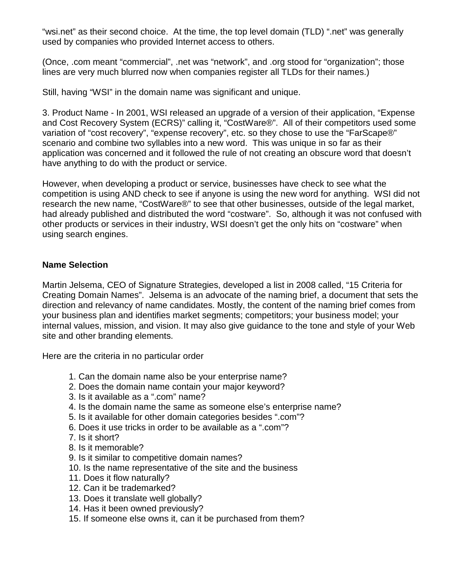"wsi.net" as their second choice. At the time, the top level domain (TLD) ".net" was generally used by companies who provided Internet access to others.

(Once, .com meant "commercial", .net was "network", and .org stood for "organization"; those lines are very much blurred now when companies register all TLDs for their names.)

Still, having "WSI" in the domain name was significant and unique.

3. Product Name - In 2001, WSI released an upgrade of a version of their application, "Expense and Cost Recovery System (ECRS)" calling it, "CostWare®". All of their competitors used some variation of "cost recovery", "expense recovery", etc. so they chose to use the "FarScape®" scenario and combine two syllables into a new word. This was unique in so far as their application was concerned and it followed the rule of not creating an obscure word that doesn't have anything to do with the product or service.

However, when developing a product or service, businesses have check to see what the competition is using AND check to see if anyone is using the new word for anything. WSI did not research the new name, "CostWare®" to see that other businesses, outside of the legal market, had already published and distributed the word "costware". So, although it was not confused with other products or services in their industry, WSI doesn't get the only hits on "costware" when using search engines.

## **Name Selection**

Martin Jelsema, CEO of Signature Strategies, developed a list in 2008 called, "15 Criteria for Creating Domain Names". Jelsema is an advocate of the naming brief, a document that sets the direction and relevancy of name candidates. Mostly, the content of the naming brief comes from your business plan and identifies market segments; competitors; your business model; your internal values, mission, and vision. It may also give guidance to the tone and style of your Web site and other branding elements.

Here are the criteria in no particular order

- 1. Can the domain name also be your enterprise name?
- 2. Does the domain name contain your major keyword?
- 3. Is it available as a ".com" name?
- 4. Is the domain name the same as someone else's enterprise name?
- 5. Is it available for other domain categories besides ".com"?
- 6. Does it use tricks in order to be available as a ".com"?
- 7. Is it short?
- 8. Is it memorable?
- 9. Is it similar to competitive domain names?
- 10. Is the name representative of the site and the business
- 11. Does it flow naturally?
- 12. Can it be trademarked?
- 13. Does it translate well globally?
- 14. Has it been owned previously?
- 15. If someone else owns it, can it be purchased from them?